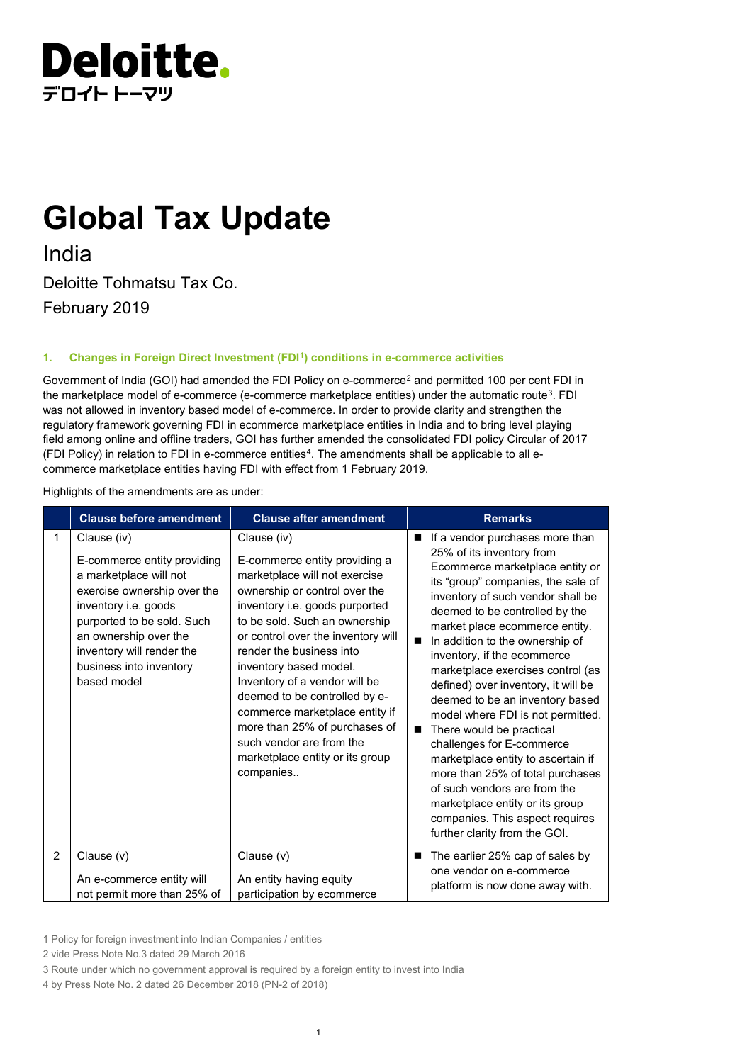

# **Global Tax Update**

India Deloitte Tohmatsu Tax Co. February 2019

## **1. Changes in Foreign Direct Investment (FD[I1\)](#page-0-0) conditions in e-commerce activities**

Government of India (GOI) had amended the FDI Policy on e-commerce<sup>[2](#page-0-1)</sup> and permitted 100 per cent FDI in the marketplace model of e-commerce (e-commerce marketplace entities) under the automatic route<sup>[3](#page-0-2)</sup>. FDI was not allowed in inventory based model of e-commerce. In order to provide clarity and strengthen the regulatory framework governing FDI in ecommerce marketplace entities in India and to bring level playing field among online and offline traders, GOI has further amended the consolidated FDI policy Circular of 2017 (FDI Policy) in relation to FDI in e-commerce entities<sup>[4](#page-0-3)</sup>. The amendments shall be applicable to all ecommerce marketplace entities having FDI with effect from 1 February 2019.

Highlights of the amendments are as under:

|   | <b>Clause before amendment</b>                                                                                                                                                                                                                            | <b>Clause after amendment</b>                                                                                                                                                                                                                                                                                                                                                                                                                                                                  | <b>Remarks</b>                                                                                                                                                                                                                                                                                                                                                                                                                                                                                                                                                                                                                                                                                                                                                        |  |
|---|-----------------------------------------------------------------------------------------------------------------------------------------------------------------------------------------------------------------------------------------------------------|------------------------------------------------------------------------------------------------------------------------------------------------------------------------------------------------------------------------------------------------------------------------------------------------------------------------------------------------------------------------------------------------------------------------------------------------------------------------------------------------|-----------------------------------------------------------------------------------------------------------------------------------------------------------------------------------------------------------------------------------------------------------------------------------------------------------------------------------------------------------------------------------------------------------------------------------------------------------------------------------------------------------------------------------------------------------------------------------------------------------------------------------------------------------------------------------------------------------------------------------------------------------------------|--|
| 1 | Clause (iv)<br>E-commerce entity providing<br>a marketplace will not<br>exercise ownership over the<br>inventory i.e. goods<br>purported to be sold. Such<br>an ownership over the<br>inventory will render the<br>business into inventory<br>based model | Clause (iv)<br>E-commerce entity providing a<br>marketplace will not exercise<br>ownership or control over the<br>inventory i.e. goods purported<br>to be sold. Such an ownership<br>or control over the inventory will<br>render the business into<br>inventory based model.<br>Inventory of a vendor will be<br>deemed to be controlled by e-<br>commerce marketplace entity if<br>more than 25% of purchases of<br>such vendor are from the<br>marketplace entity or its group<br>companies | If a vendor purchases more than<br>$\blacksquare$<br>25% of its inventory from<br>Ecommerce marketplace entity or<br>its "group" companies, the sale of<br>inventory of such vendor shall be<br>deemed to be controlled by the<br>market place ecommerce entity.<br>In addition to the ownership of<br>■<br>inventory, if the ecommerce<br>marketplace exercises control (as<br>defined) over inventory, it will be<br>deemed to be an inventory based<br>model where FDI is not permitted.<br>There would be practical<br>challenges for E-commerce<br>marketplace entity to ascertain if<br>more than 25% of total purchases<br>of such vendors are from the<br>marketplace entity or its group<br>companies. This aspect requires<br>further clarity from the GOI. |  |
| 2 | Clause (v)                                                                                                                                                                                                                                                | Clause (v)                                                                                                                                                                                                                                                                                                                                                                                                                                                                                     | The earlier 25% cap of sales by<br>one vendor on e-commerce                                                                                                                                                                                                                                                                                                                                                                                                                                                                                                                                                                                                                                                                                                           |  |
|   | An e-commerce entity will                                                                                                                                                                                                                                 | An entity having equity                                                                                                                                                                                                                                                                                                                                                                                                                                                                        | platform is now done away with.                                                                                                                                                                                                                                                                                                                                                                                                                                                                                                                                                                                                                                                                                                                                       |  |
|   | not permit more than 25% of                                                                                                                                                                                                                               | participation by ecommerce                                                                                                                                                                                                                                                                                                                                                                                                                                                                     |                                                                                                                                                                                                                                                                                                                                                                                                                                                                                                                                                                                                                                                                                                                                                                       |  |

<span id="page-0-0"></span><sup>1</sup> Policy for foreign investment into Indian Companies / entities

j

<span id="page-0-1"></span><sup>2</sup> vide Press Note No.3 dated 29 March 2016

<span id="page-0-2"></span><sup>3</sup> Route under which no government approval is required by a foreign entity to invest into India

<span id="page-0-3"></span><sup>4</sup> by Press Note No. 2 dated 26 December 2018 (PN-2 of 2018)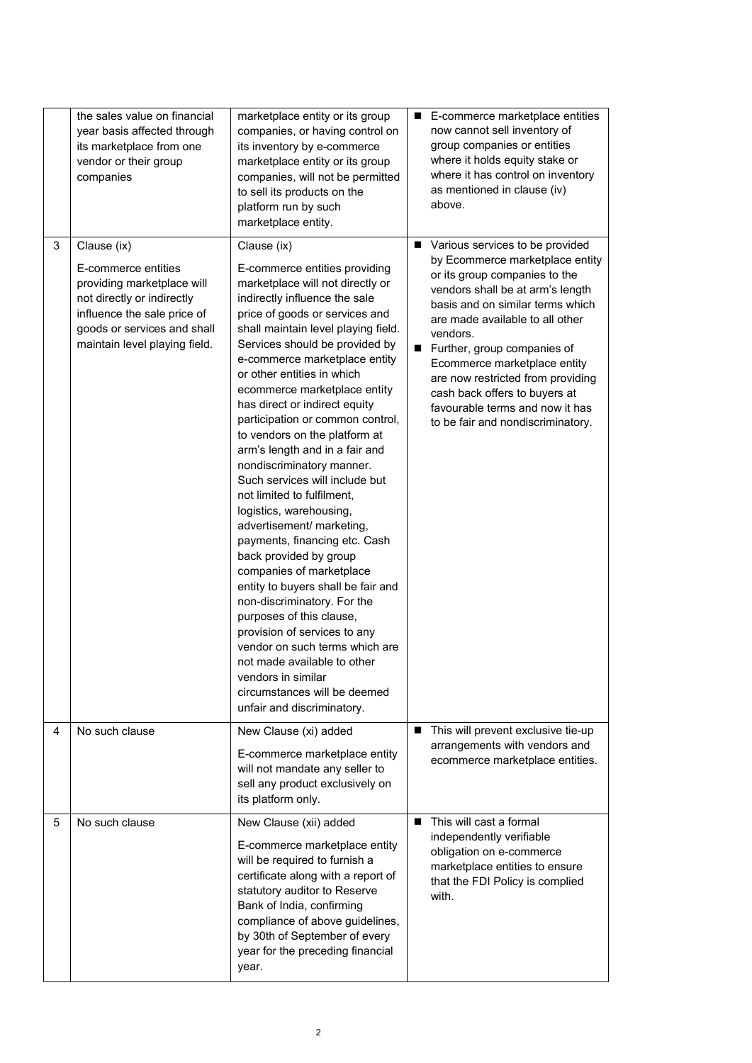|   | the sales value on financial<br>year basis affected through<br>its marketplace from one<br>vendor or their group<br>companies                                                                 | marketplace entity or its group<br>companies, or having control on<br>its inventory by e-commerce<br>marketplace entity or its group<br>companies, will not be permitted<br>to sell its products on the<br>platform run by such<br>marketplace entity.                                                                                                                                                                                                                                                                                                                                                                                                                                                                                                                                                                                                                                                                                                                                                | $\blacksquare$ | E-commerce marketplace entities<br>now cannot sell inventory of<br>group companies or entities<br>where it holds equity stake or<br>where it has control on inventory<br>as mentioned in clause (iv)<br>above.                                                                                                                                                                                                                          |
|---|-----------------------------------------------------------------------------------------------------------------------------------------------------------------------------------------------|-------------------------------------------------------------------------------------------------------------------------------------------------------------------------------------------------------------------------------------------------------------------------------------------------------------------------------------------------------------------------------------------------------------------------------------------------------------------------------------------------------------------------------------------------------------------------------------------------------------------------------------------------------------------------------------------------------------------------------------------------------------------------------------------------------------------------------------------------------------------------------------------------------------------------------------------------------------------------------------------------------|----------------|-----------------------------------------------------------------------------------------------------------------------------------------------------------------------------------------------------------------------------------------------------------------------------------------------------------------------------------------------------------------------------------------------------------------------------------------|
| 3 | Clause (ix)<br>E-commerce entities<br>providing marketplace will<br>not directly or indirectly<br>influence the sale price of<br>goods or services and shall<br>maintain level playing field. | Clause (ix)<br>E-commerce entities providing<br>marketplace will not directly or<br>indirectly influence the sale<br>price of goods or services and<br>shall maintain level playing field.<br>Services should be provided by<br>e-commerce marketplace entity<br>or other entities in which<br>ecommerce marketplace entity<br>has direct or indirect equity<br>participation or common control,<br>to vendors on the platform at<br>arm's length and in a fair and<br>nondiscriminatory manner.<br>Such services will include but<br>not limited to fulfilment,<br>logistics, warehousing,<br>advertisement/ marketing,<br>payments, financing etc. Cash<br>back provided by group<br>companies of marketplace<br>entity to buyers shall be fair and<br>non-discriminatory. For the<br>purposes of this clause,<br>provision of services to any<br>vendor on such terms which are<br>not made available to other<br>vendors in similar<br>circumstances will be deemed<br>unfair and discriminatory. | $\blacksquare$ | Various services to be provided<br>by Ecommerce marketplace entity<br>or its group companies to the<br>vendors shall be at arm's length<br>basis and on similar terms which<br>are made available to all other<br>vendors.<br>Further, group companies of<br>Ecommerce marketplace entity<br>are now restricted from providing<br>cash back offers to buyers at<br>favourable terms and now it has<br>to be fair and nondiscriminatory. |
| 4 | No such clause                                                                                                                                                                                | New Clause (xi) added<br>E-commerce marketplace entity<br>will not mandate any seller to<br>sell any product exclusively on<br>its platform only.                                                                                                                                                                                                                                                                                                                                                                                                                                                                                                                                                                                                                                                                                                                                                                                                                                                     | п              | This will prevent exclusive tie-up<br>arrangements with vendors and<br>ecommerce marketplace entities.                                                                                                                                                                                                                                                                                                                                  |
| 5 | No such clause                                                                                                                                                                                | New Clause (xii) added<br>E-commerce marketplace entity<br>will be required to furnish a<br>certificate along with a report of<br>statutory auditor to Reserve<br>Bank of India, confirming<br>compliance of above guidelines,<br>by 30th of September of every<br>year for the preceding financial<br>year.                                                                                                                                                                                                                                                                                                                                                                                                                                                                                                                                                                                                                                                                                          | ■              | This will cast a formal<br>independently verifiable<br>obligation on e-commerce<br>marketplace entities to ensure<br>that the FDI Policy is complied<br>with.                                                                                                                                                                                                                                                                           |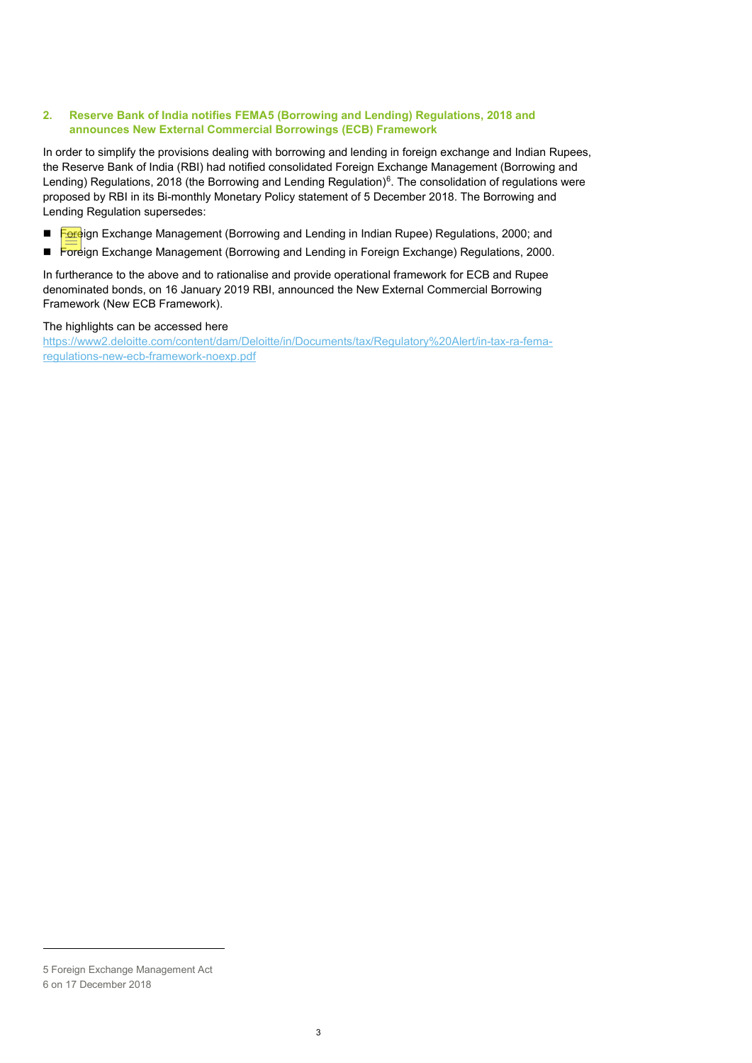## **2. Reserve Bank of India notifies FEMA[5](#page-2-0) (Borrowing and Lending) Regulations, 2018 and announces New External Commercial Borrowings (ECB) Framework**

In order to simplify the provisions dealing with borrowing and lending in foreign exchange and Indian Rupees, the Reserve Bank of India (RBI) had notified consolidated Foreign Exchange Management (Borrowing and Lending) Regulations, 2018 (the Borrowing and Lending Regulation) $6$ . The consolidation of regulations were proposed by RBI in its Bi-monthly Monetary Policy statement of 5 December 2018. The Borrowing and Lending Regulation supersedes:

- Foreign Exchange Management (Borrowing and Lending in Indian Rupee) Regulations, 2000; and
- Foreign Exchange Management (Borrowing and Lending in Foreign Exchange) Regulations, 2000.

In furtherance to the above and to rationalise and provide operational framework for ECB and Rupee denominated bonds, on 16 January 2019 RBI, announced the New External Commercial Borrowing Framework (New ECB Framework).

## The highlights can be accessed here

[https://www2.deloitte.com/content/dam/Deloitte/in/Documents/tax/Regulatory%20Alert/in-tax-ra-fema](https://www2.deloitte.com/content/dam/Deloitte/in/Documents/tax/Regulatory%20Alert/in-tax-ra-fema-regulations-new-ecb-framework-noexp.pdf)[regulations-new-ecb-framework-noexp.pdf](https://www2.deloitte.com/content/dam/Deloitte/in/Documents/tax/Regulatory%20Alert/in-tax-ra-fema-regulations-new-ecb-framework-noexp.pdf)

j

<span id="page-2-1"></span><span id="page-2-0"></span><sup>5</sup> Foreign Exchange Management Act 6 on 17 December 2018